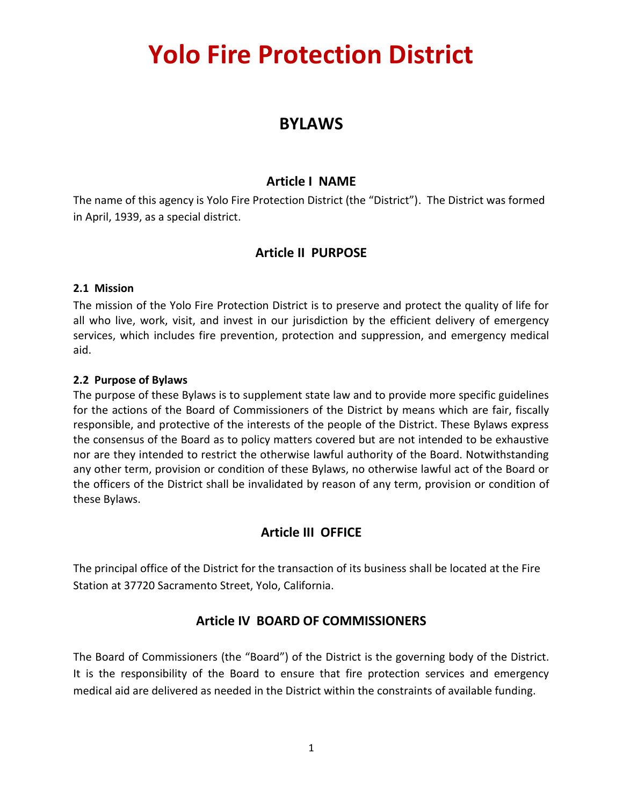# **Yolo Fire Protection District**

## **BYLAWS**

### **Article I NAME**

The name of this agency is Yolo Fire Protection District (the "District"). The District was formed in April, 1939, as a special district.

## **Article II PURPOSE**

#### **2.1 Mission**

The mission of the Yolo Fire Protection District is to preserve and protect the quality of life for all who live, work, visit, and invest in our jurisdiction by the efficient delivery of emergency services, which includes fire prevention, protection and suppression, and emergency medical aid.

#### **2.2 Purpose of Bylaws**

The purpose of these Bylaws is to supplement state law and to provide more specific guidelines for the actions of the Board of Commissioners of the District by means which are fair, fiscally responsible, and protective of the interests of the people of the District. These Bylaws express the consensus of the Board as to policy matters covered but are not intended to be exhaustive nor are they intended to restrict the otherwise lawful authority of the Board. Notwithstanding any other term, provision or condition of these Bylaws, no otherwise lawful act of the Board or the officers of the District shall be invalidated by reason of any term, provision or condition of these Bylaws.

## **Article III OFFICE**

The principal office of the District for the transaction of its business shall be located at the Fire Station at 37720 Sacramento Street, Yolo, California.

## **Article IV BOARD OF COMMISSIONERS**

The Board of Commissioners (the "Board") of the District is the governing body of the District. It is the responsibility of the Board to ensure that fire protection services and emergency medical aid are delivered as needed in the District within the constraints of available funding.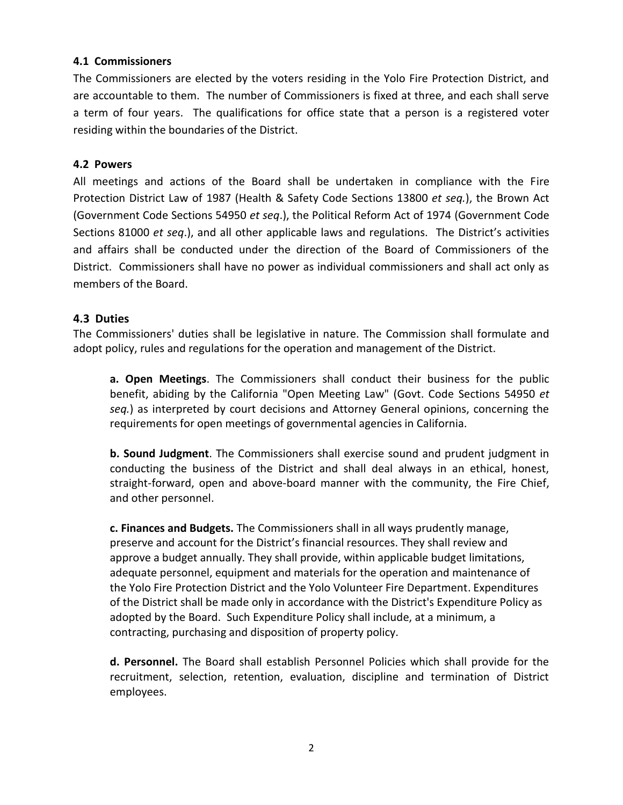#### **4.1 Commissioners**

The Commissioners are elected by the voters residing in the Yolo Fire Protection District, and are accountable to them. The number of Commissioners is fixed at three, and each shall serve a term of four years. The qualifications for office state that a person is a registered voter residing within the boundaries of the District.

#### **4.2 Powers**

All meetings and actions of the Board shall be undertaken in compliance with the Fire Protection District Law of 1987 (Health & Safety Code Sections 13800 *et seq.*), the Brown Act (Government Code Sections 54950 *et seq*.), the Political Reform Act of 1974 (Government Code Sections 81000 *et seq*.), and all other applicable laws and regulations. The District's activities and affairs shall be conducted under the direction of the Board of Commissioners of the District. Commissioners shall have no power as individual commissioners and shall act only as members of the Board.

#### **4.3 Duties**

The Commissioners' duties shall be legislative in nature. The Commission shall formulate and adopt policy, rules and regulations for the operation and management of the District.

**a. Open Meetings**. The Commissioners shall conduct their business for the public benefit, abiding by the California "Open Meeting Law" (Govt. Code Sections 54950 *et seq.*) as interpreted by court decisions and Attorney General opinions, concerning the requirements for open meetings of governmental agencies in California.

**b. Sound Judgment**. The Commissioners shall exercise sound and prudent judgment in conducting the business of the District and shall deal always in an ethical, honest, straight-forward, open and above-board manner with the community, the Fire Chief, and other personnel.

**c. Finances and Budgets.** The Commissioners shall in all ways prudently manage, preserve and account for the District's financial resources. They shall review and approve a budget annually. They shall provide, within applicable budget limitations, adequate personnel, equipment and materials for the operation and maintenance of the Yolo Fire Protection District and the Yolo Volunteer Fire Department. Expenditures of the District shall be made only in accordance with the District's Expenditure Policy as adopted by the Board. Such Expenditure Policy shall include, at a minimum, a contracting, purchasing and disposition of property policy.

**d. Personnel.** The Board shall establish Personnel Policies which shall provide for the recruitment, selection, retention, evaluation, discipline and termination of District employees.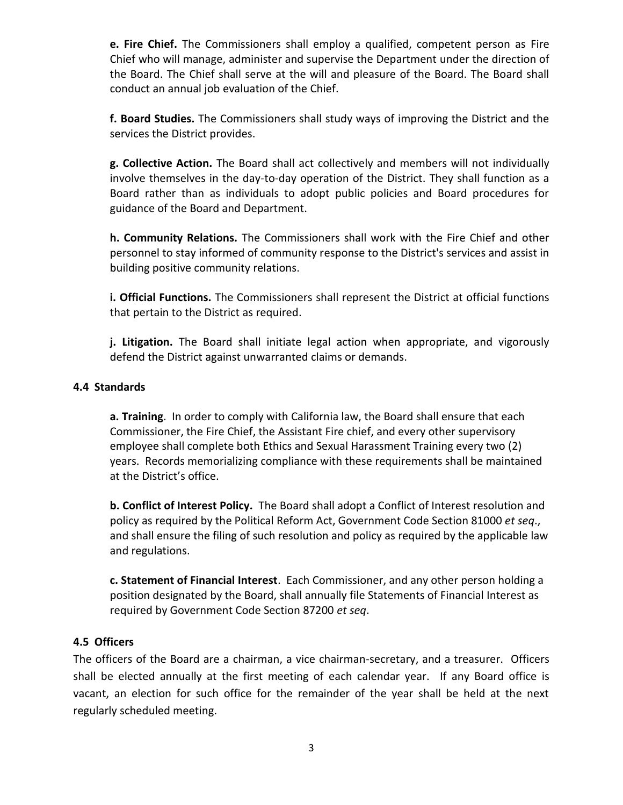**e. Fire Chief.** The Commissioners shall employ a qualified, competent person as Fire Chief who will manage, administer and supervise the Department under the direction of the Board. The Chief shall serve at the will and pleasure of the Board. The Board shall conduct an annual job evaluation of the Chief.

**f. Board Studies.** The Commissioners shall study ways of improving the District and the services the District provides.

**g. Collective Action.** The Board shall act collectively and members will not individually involve themselves in the day-to-day operation of the District. They shall function as a Board rather than as individuals to adopt public policies and Board procedures for guidance of the Board and Department.

**h. Community Relations.** The Commissioners shall work with the Fire Chief and other personnel to stay informed of community response to the District's services and assist in building positive community relations.

**i. Official Functions.** The Commissioners shall represent the District at official functions that pertain to the District as required.

**j. Litigation.** The Board shall initiate legal action when appropriate, and vigorously defend the District against unwarranted claims or demands.

#### **4.4 Standards**

**a. Training**. In order to comply with California law, the Board shall ensure that each Commissioner, the Fire Chief, the Assistant Fire chief, and every other supervisory employee shall complete both Ethics and Sexual Harassment Training every two (2) years. Records memorializing compliance with these requirements shall be maintained at the District's office.

**b. Conflict of Interest Policy.** The Board shall adopt a Conflict of Interest resolution and policy as required by the Political Reform Act, Government Code Section 81000 *et seq*., and shall ensure the filing of such resolution and policy as required by the applicable law and regulations.

**c. Statement of Financial Interest**. Each Commissioner, and any other person holding a position designated by the Board, shall annually file Statements of Financial Interest as required by Government Code Section 87200 *et seq*.

#### **4.5 Officers**

The officers of the Board are a chairman, a vice chairman-secretary, and a treasurer. Officers shall be elected annually at the first meeting of each calendar year. If any Board office is vacant, an election for such office for the remainder of the year shall be held at the next regularly scheduled meeting.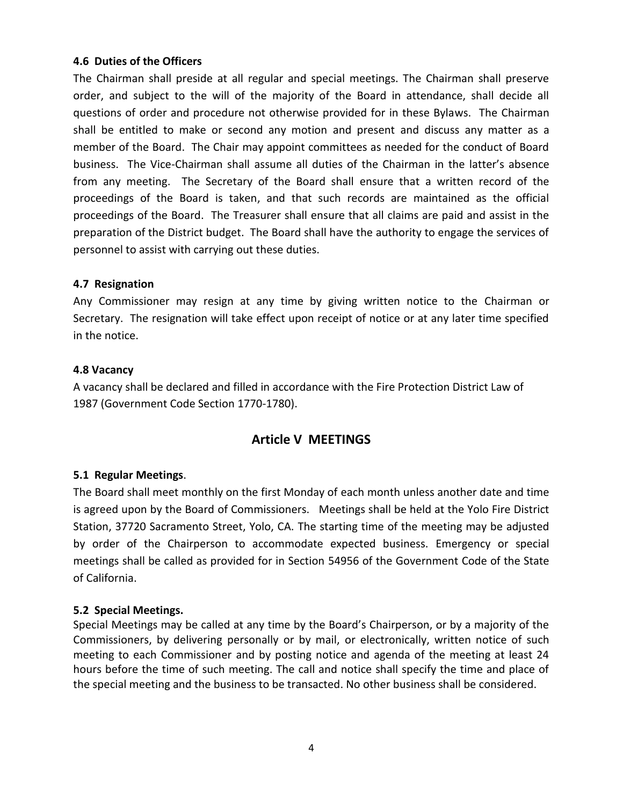#### **4.6 Duties of the Officers**

The Chairman shall preside at all regular and special meetings. The Chairman shall preserve order, and subject to the will of the majority of the Board in attendance, shall decide all questions of order and procedure not otherwise provided for in these Bylaws. The Chairman shall be entitled to make or second any motion and present and discuss any matter as a member of the Board. The Chair may appoint committees as needed for the conduct of Board business. The Vice-Chairman shall assume all duties of the Chairman in the latter's absence from any meeting. The Secretary of the Board shall ensure that a written record of the proceedings of the Board is taken, and that such records are maintained as the official proceedings of the Board. The Treasurer shall ensure that all claims are paid and assist in the preparation of the District budget. The Board shall have the authority to engage the services of personnel to assist with carrying out these duties.

#### **4.7 Resignation**

Any Commissioner may resign at any time by giving written notice to the Chairman or Secretary. The resignation will take effect upon receipt of notice or at any later time specified in the notice.

#### **4.8 Vacancy**

A vacancy shall be declared and filled in accordance with the Fire Protection District Law of 1987 (Government Code Section 1770-1780).

## **Article V MEETINGS**

#### **5.1 Regular Meetings**.

The Board shall meet monthly on the first Monday of each month unless another date and time is agreed upon by the Board of Commissioners. Meetings shall be held at the Yolo Fire District Station, 37720 Sacramento Street, Yolo, CA. The starting time of the meeting may be adjusted by order of the Chairperson to accommodate expected business. Emergency or special meetings shall be called as provided for in Section 54956 of the Government Code of the State of California.

#### **5.2 Special Meetings.**

Special Meetings may be called at any time by the Board's Chairperson, or by a majority of the Commissioners, by delivering personally or by mail, or electronically, written notice of such meeting to each Commissioner and by posting notice and agenda of the meeting at least 24 hours before the time of such meeting. The call and notice shall specify the time and place of the special meeting and the business to be transacted. No other business shall be considered.